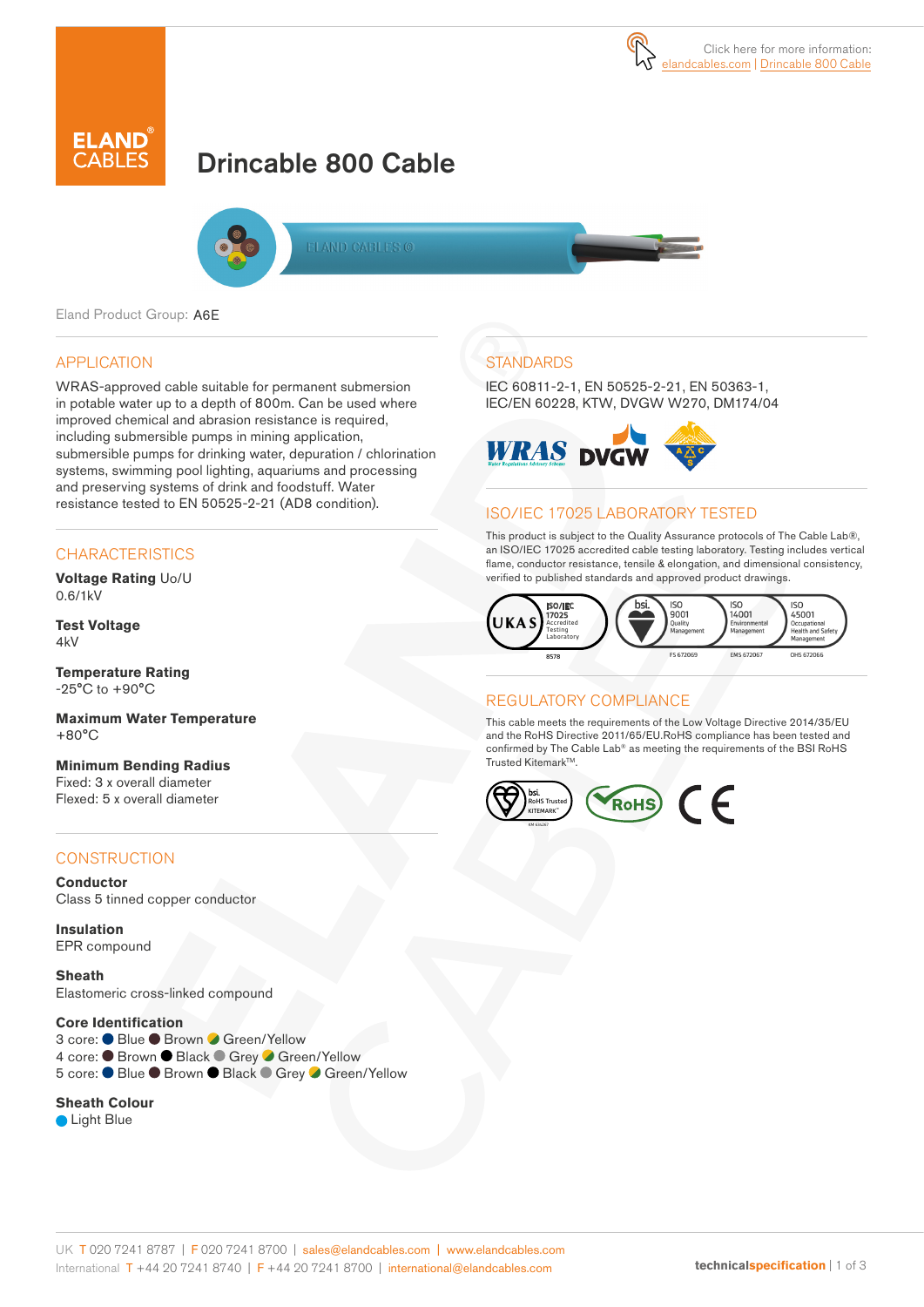

# Drincable 800 Cable



ELAND CABLES @

Eland Product Group: A6E

### APPLICATION

WRAS-approved cable suitable for permanent submersion in potable water up to a depth of 800m. Can be used where improved chemical and abrasion resistance is required, including submersible pumps in mining application, submersible pumps for drinking water, depuration / chlorination systems, swimming pool lighting, aquariums and processing and preserving systems of drink and foodstuff. Water resistance tested to EN 50525-2-21 (AD8 condition).

### **CHARACTERISTICS**

**Voltage Rating** Uo/U 0.6/1kV

**Test Voltage**  $4kV$ 

**Temperature Rating** -25°C to +90°C

**Maximum Water Temperature** +80°C

**Minimum Bending Radius**  Fixed: 3 x overall diameter Flexed: 5 x overall diameter

### **CONSTRUCTION**

**Conductor** Class 5 tinned copper conductor

**Insulation** EPR compound

**Sheath** Elastomeric cross-linked compound

#### **Core Identification**

3 core: ● Blue ● Brown ● Green/Yellow 4 core: ● Brown ● Black ● Grey ● Green/Yellow 5 core: ● Blue ● Brown ● Black ● Grey ● Green/Yellow

#### **Sheath Colour**

● Light Blue

## **STANDARDS**

IEC 60811-2-1, EN 50525-2-21, EN 50363-1, IEC/EN 60228, KTW, DVGW W270, DM174/04



### ISO/IEC 17025 LABORATORY TESTED

This product is subject to the Quality Assurance protocols of The Cable Lab®, an ISO/IEC 17025 accredited cable testing laboratory. Testing includes vertical flame, conductor resistance, tensile & elongation, and dimensional consistency, verified to published standards and approved product drawings.



### REGULATORY COMPLIANCE

This cable meets the requirements of the Low Voltage Directive 2014/35/EU and the RoHS Directive 2011/65/EU.RoHS compliance has been tested and confirmed by The Cable Lab® as meeting the requirements of the BSI RoHS Trusted Kitemark™.

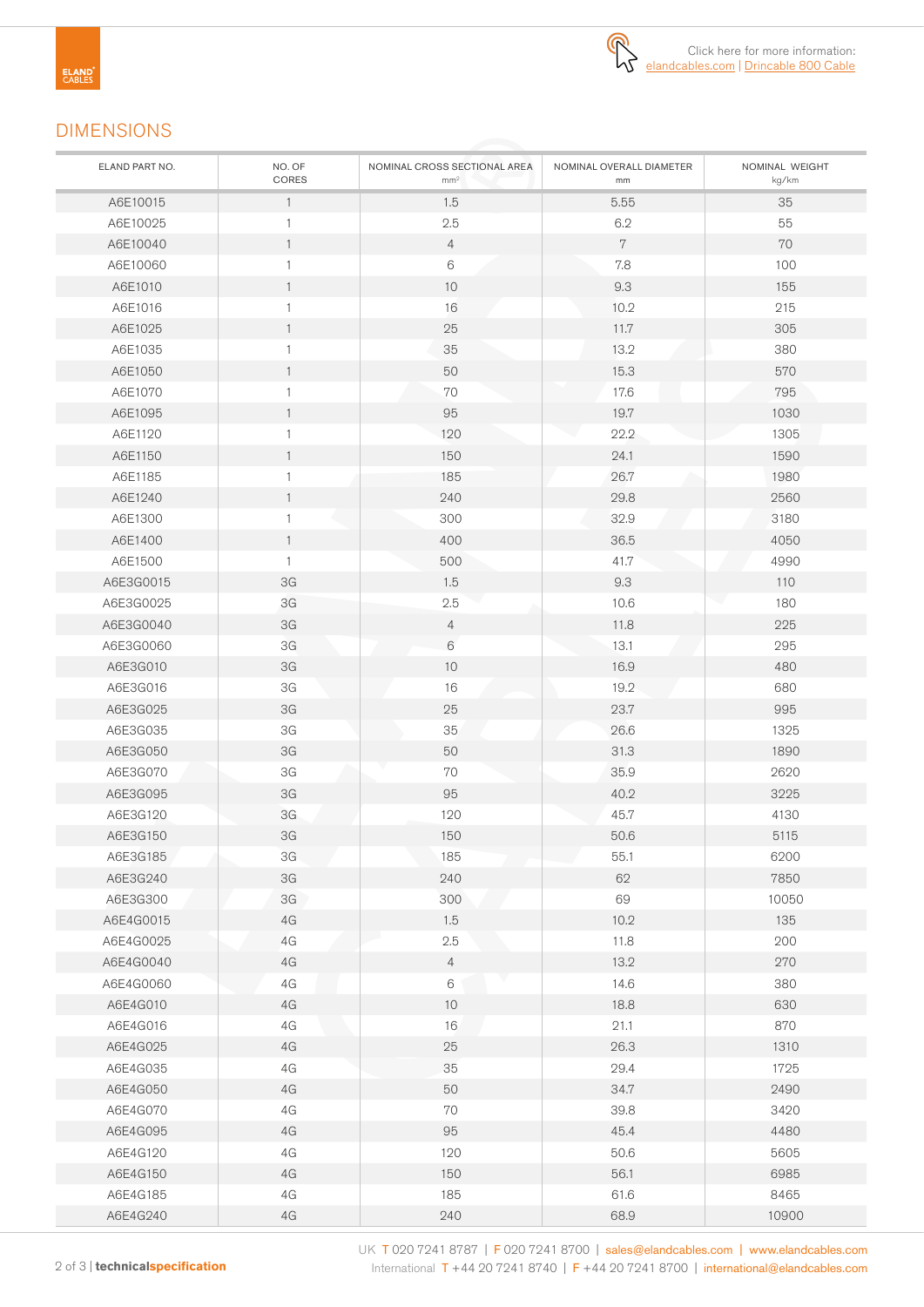

## DIMENSIONS

| ELAND PART NO. | NO. OF<br>CORES | NOMINAL CROSS SECTIONAL AREA<br>mm <sup>2</sup> | NOMINAL OVERALL DIAMETER<br>mm | NOMINAL WEIGHT<br>kg/km |
|----------------|-----------------|-------------------------------------------------|--------------------------------|-------------------------|
| A6E10015       | $\mathbf{1}$    | 1.5                                             | 5.55                           | 35                      |
| A6E10025       | $\mathbf{1}$    | 2.5                                             | 6.2                            | 55                      |
| A6E10040       | $\mathbf{1}$    | $\overline{4}$                                  | $7\phantom{.}$                 | 70                      |
| A6E10060       | 1               | 6                                               | 7.8                            | 100                     |
| A6E1010        | $\mathbf{1}$    | 10                                              | 9.3                            | 155                     |
| A6E1016        | $\mathbf{1}$    | 16                                              | 10.2                           | 215                     |
| A6E1025        | $\mathbf{1}$    | 25                                              | 11.7                           | 305                     |
| A6E1035        | 1               | 35                                              | 13.2                           | 380                     |
| A6E1050        | $\mathbf{1}$    | 50                                              | 15.3                           | 570                     |
| A6E1070        | $\mathbf{1}$    | 70                                              | 17.6                           | 795                     |
| A6E1095        | $\mathbf{1}$    | 95                                              | 19.7                           | 1030                    |
| A6E1120        | $\mathbf{1}$    | 120                                             | 22.2                           | 1305                    |
| A6E1150        | $\mathbf{1}$    | 150                                             | 24.1                           | 1590                    |
| A6E1185        | 1               | 185                                             | 26.7                           | 1980                    |
| A6E1240        | $\mathbf{1}$    | 240                                             | 29.8                           | 2560                    |
| A6E1300        | 1               | 300                                             | 32.9                           | 3180                    |
| A6E1400        | $\mathbf{1}$    | 400                                             | 36.5                           | 4050                    |
| A6E1500        | $\mathbf{1}$    | 500                                             | 41.7                           | 4990                    |
| A6E3G0015      | 3G              | 1.5                                             | 9.3                            | 110                     |
| A6E3G0025      | 3G              | 2.5                                             | 10.6                           | 180                     |
| A6E3G0040      | 3G              | $\overline{4}$                                  | 11.8                           | 225                     |
| A6E3G0060      | 3G              | 6                                               | 13.1                           | 295                     |
| A6E3G010       | 3G              | 10                                              | 16.9                           | 480                     |
| A6E3G016       | 3G              | 16                                              | 19.2                           | 680                     |
| A6E3G025       | 3G              | 25                                              | 23.7                           | 995                     |
| A6E3G035       | ЗG              | 35                                              | 26.6                           | 1325                    |
| A6E3G050       | 3G              | 50                                              | 31.3                           | 1890                    |
| A6E3G070       | $3\mathsf{G}$   | 70                                              | 35.9                           | 2620                    |
| A6E3G095       | 3G              | 95                                              | 40.2                           | 3225                    |
| A6E3G120       | 3G              | 120                                             | 45.7                           | 4130                    |
| A6E3G150       | 3G              | 150                                             | 50.6                           | 5115                    |
| A6E3G185       | 3G              | 185                                             | 55.1                           | 6200                    |
| A6E3G240       | 3G              | 240                                             | 62                             | 7850                    |
| A6E3G300       | 3G              | 300                                             | 69                             | 10050                   |
| A6E4G0015      | $4G$            | 1.5                                             | 10.2                           | 135                     |
| A6E4G0025      | 4G              | 2.5                                             | 11.8                           | 200                     |
| A6E4G0040      | 4G              | $\overline{4}$                                  | 13.2                           | 270                     |
| A6E4G0060      | $4G$            | $6\,$                                           | 14.6                           | 380                     |
| A6E4G010       | $4G$            | $10$                                            | 18.8                           | 630                     |
| A6E4G016       | $4G$            | 16                                              | 21.1                           | 870                     |
| A6E4G025       | $4G$            | $25\,$                                          | 26.3                           | 1310                    |
| A6E4G035       | $4G$            | 35                                              | 29.4                           | 1725                    |
| A6E4G050       | $4G$            | 50                                              | 34.7                           | 2490                    |
| A6E4G070       | $4G$            | $70\,$                                          | 39.8                           | 3420                    |
| A6E4G095       | 4G              | 95                                              | 45.4                           | 4480                    |
| A6E4G120       | $4G$            | 120                                             | 50.6                           | 5605                    |
| A6E4G150       | 4G              | 150                                             | 56.1                           | 6985                    |
| A6E4G185       | $4G$            | 185                                             | 61.6                           | 8465                    |
| A6E4G240       | $4\,\mathrm{G}$ | 240                                             | 68.9                           | 10900                   |

UK T 020 7241 8787 | F 020 7241 8700 | sales@elandcables.com | www.elandcables.com 2 of 3 | **technicalspecification** International T +44 20 7241 8740 | F +44 20 7241 8700 | international@elandcables.com